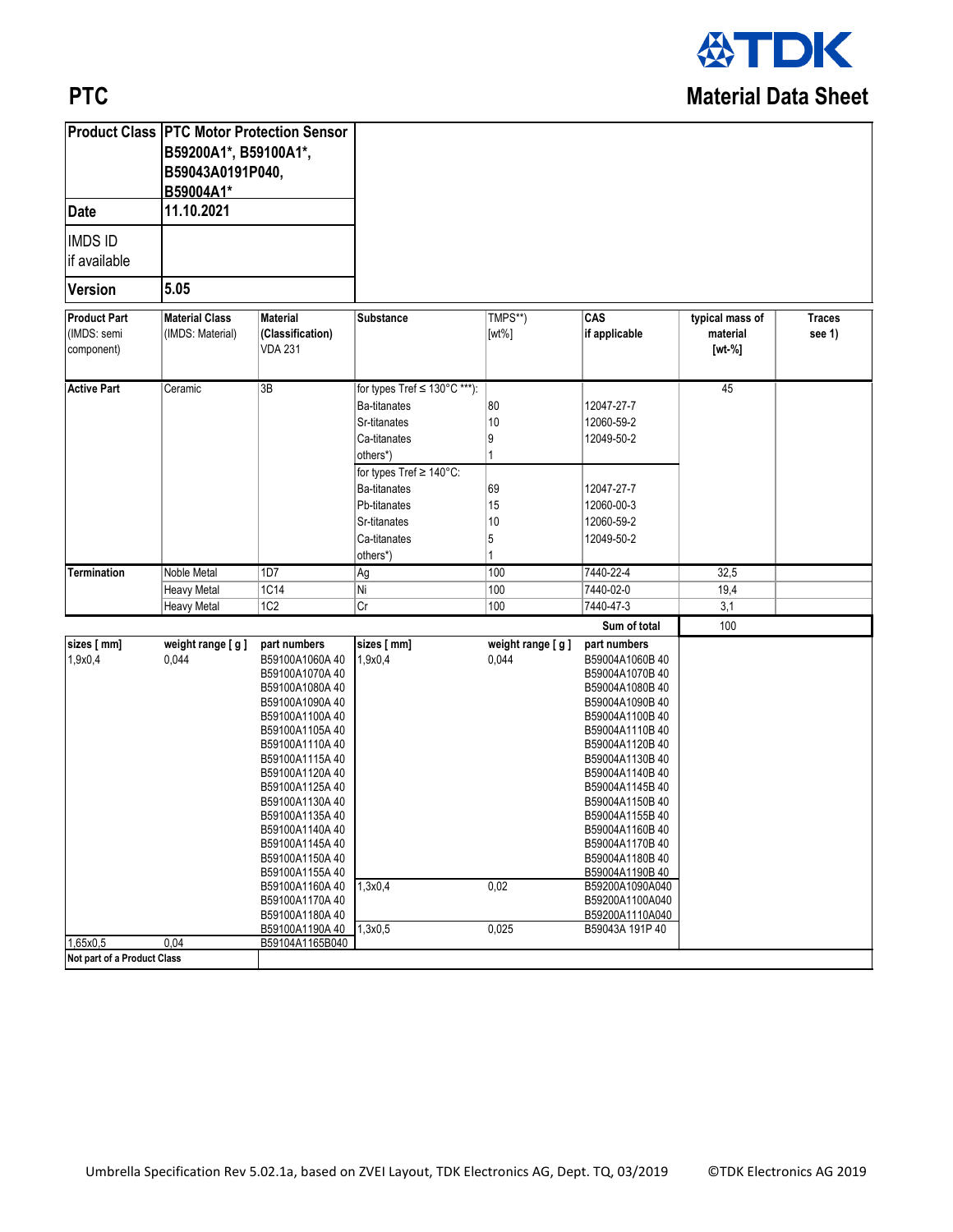

## **PTC**

| 11.10.2021<br><b>IMDS ID</b><br>5.05<br>CAS<br><b>Material Class</b><br>TMPS**)<br>typical mass of<br><b>Traces</b><br><b>Material</b><br>Substance<br>(IMDS: semi<br>if applicable<br>(IMDS: Material)<br>(Classification)<br>$[wt\%]$<br>material<br>see 1)<br><b>VDA 231</b><br>$[wt - %]$<br>3B<br>for types Tref ≤ 130°C ***):<br>45<br>Ceramic<br>80<br><b>Ba-titanates</b><br>12047-27-7<br>10<br>Sr-titanates<br>12060-59-2<br>Ca-titanates<br>9<br>12049-50-2<br>others*)<br>1<br>for types Tref ≥ 140°C:<br><b>Ba-titanates</b><br>69<br>12047-27-7<br>15<br>Pb-titanates<br>12060-00-3<br>10<br>12060-59-2<br>Sr-titanates<br>5<br>12049-50-2<br>Ca-titanates<br>1<br>others*)<br>Noble Metal<br>1D7<br>100<br>7440-22-4<br>32,5<br>Termination<br>Ag<br> 1C14<br> Ni<br>100<br>7440-02-0<br>19,4<br><b>Heavy Metal</b><br>1C2<br>3,1<br> Cr<br>100<br>7440-47-3<br><b>Heavy Metal</b><br>Sum of total<br>100<br>weight range [g]<br>sizes [ mm]<br>weight range [g]<br>part numbers<br>part numbers<br>1,9x0,4<br>0,044<br>B59100A1060A 40<br>0,044<br>1,9x0,4<br>B59004A1060B 40<br>B59100A1070A40<br>B59004A1070B 40<br>B59100A1080A40<br>B59004A1080B40<br>B59100A1090A40<br>B59004A1090B40<br>B59100A1100A40<br>B59004A1100B40<br>B59100A1105A40<br>B59004A1110B40<br>B59100A1110A40<br>B59004A1120B40<br>B59100A1115A40<br>B59004A1130B40<br>B59100A1120A 40<br>B59004A1140B40<br>B59100A1125A40<br>B59004A1145B40<br>B59100A1130A40<br>B59004A1150B40<br>B59100A1135A 40<br>B59004A1155B40<br>B59100A1140A 40<br>B59004A1160B 40<br>B59100A1145A40<br>B59004A1170B40<br>B59004A1180B 40<br>B59100A1150A 40<br>B59100A1155A40<br>B59004A1190B 40<br>0,02<br>B59100A1160A 40<br>1,3x0,4<br>B59200A1090A040<br>B59100A1170A 40<br>B59200A1100A040<br>B59100A1180A 40<br>B59200A1110A040<br>B59100A1190A 40<br>1,3x0,5<br>0,025<br>B59043A 191P 40<br>1,65x0,5<br>0.04<br>B59104A1165B040 |                                   | <b>Product Class PTC Motor Protection Sensor</b><br>B59200A1*, B59100A1*,<br>B59043A0191P040,<br>B59004A1* |  |  |  |  |
|---------------------------------------------------------------------------------------------------------------------------------------------------------------------------------------------------------------------------------------------------------------------------------------------------------------------------------------------------------------------------------------------------------------------------------------------------------------------------------------------------------------------------------------------------------------------------------------------------------------------------------------------------------------------------------------------------------------------------------------------------------------------------------------------------------------------------------------------------------------------------------------------------------------------------------------------------------------------------------------------------------------------------------------------------------------------------------------------------------------------------------------------------------------------------------------------------------------------------------------------------------------------------------------------------------------------------------------------------------------------------------------------------------------------------------------------------------------------------------------------------------------------------------------------------------------------------------------------------------------------------------------------------------------------------------------------------------------------------------------------------------------------------------------------------------------------------------------------------------------------------------------------------------|-----------------------------------|------------------------------------------------------------------------------------------------------------|--|--|--|--|
|                                                                                                                                                                                                                                                                                                                                                                                                                                                                                                                                                                                                                                                                                                                                                                                                                                                                                                                                                                                                                                                                                                                                                                                                                                                                                                                                                                                                                                                                                                                                                                                                                                                                                                                                                                                                                                                                                                         | <b>Date</b>                       |                                                                                                            |  |  |  |  |
|                                                                                                                                                                                                                                                                                                                                                                                                                                                                                                                                                                                                                                                                                                                                                                                                                                                                                                                                                                                                                                                                                                                                                                                                                                                                                                                                                                                                                                                                                                                                                                                                                                                                                                                                                                                                                                                                                                         | if available                      |                                                                                                            |  |  |  |  |
|                                                                                                                                                                                                                                                                                                                                                                                                                                                                                                                                                                                                                                                                                                                                                                                                                                                                                                                                                                                                                                                                                                                                                                                                                                                                                                                                                                                                                                                                                                                                                                                                                                                                                                                                                                                                                                                                                                         | <b>Version</b>                    |                                                                                                            |  |  |  |  |
|                                                                                                                                                                                                                                                                                                                                                                                                                                                                                                                                                                                                                                                                                                                                                                                                                                                                                                                                                                                                                                                                                                                                                                                                                                                                                                                                                                                                                                                                                                                                                                                                                                                                                                                                                                                                                                                                                                         | <b>Product Part</b><br>component) |                                                                                                            |  |  |  |  |
|                                                                                                                                                                                                                                                                                                                                                                                                                                                                                                                                                                                                                                                                                                                                                                                                                                                                                                                                                                                                                                                                                                                                                                                                                                                                                                                                                                                                                                                                                                                                                                                                                                                                                                                                                                                                                                                                                                         | <b>Active Part</b>                |                                                                                                            |  |  |  |  |
|                                                                                                                                                                                                                                                                                                                                                                                                                                                                                                                                                                                                                                                                                                                                                                                                                                                                                                                                                                                                                                                                                                                                                                                                                                                                                                                                                                                                                                                                                                                                                                                                                                                                                                                                                                                                                                                                                                         |                                   |                                                                                                            |  |  |  |  |
|                                                                                                                                                                                                                                                                                                                                                                                                                                                                                                                                                                                                                                                                                                                                                                                                                                                                                                                                                                                                                                                                                                                                                                                                                                                                                                                                                                                                                                                                                                                                                                                                                                                                                                                                                                                                                                                                                                         |                                   |                                                                                                            |  |  |  |  |
|                                                                                                                                                                                                                                                                                                                                                                                                                                                                                                                                                                                                                                                                                                                                                                                                                                                                                                                                                                                                                                                                                                                                                                                                                                                                                                                                                                                                                                                                                                                                                                                                                                                                                                                                                                                                                                                                                                         |                                   |                                                                                                            |  |  |  |  |
|                                                                                                                                                                                                                                                                                                                                                                                                                                                                                                                                                                                                                                                                                                                                                                                                                                                                                                                                                                                                                                                                                                                                                                                                                                                                                                                                                                                                                                                                                                                                                                                                                                                                                                                                                                                                                                                                                                         |                                   |                                                                                                            |  |  |  |  |
|                                                                                                                                                                                                                                                                                                                                                                                                                                                                                                                                                                                                                                                                                                                                                                                                                                                                                                                                                                                                                                                                                                                                                                                                                                                                                                                                                                                                                                                                                                                                                                                                                                                                                                                                                                                                                                                                                                         | sizes [ mm]                       |                                                                                                            |  |  |  |  |
|                                                                                                                                                                                                                                                                                                                                                                                                                                                                                                                                                                                                                                                                                                                                                                                                                                                                                                                                                                                                                                                                                                                                                                                                                                                                                                                                                                                                                                                                                                                                                                                                                                                                                                                                                                                                                                                                                                         |                                   |                                                                                                            |  |  |  |  |